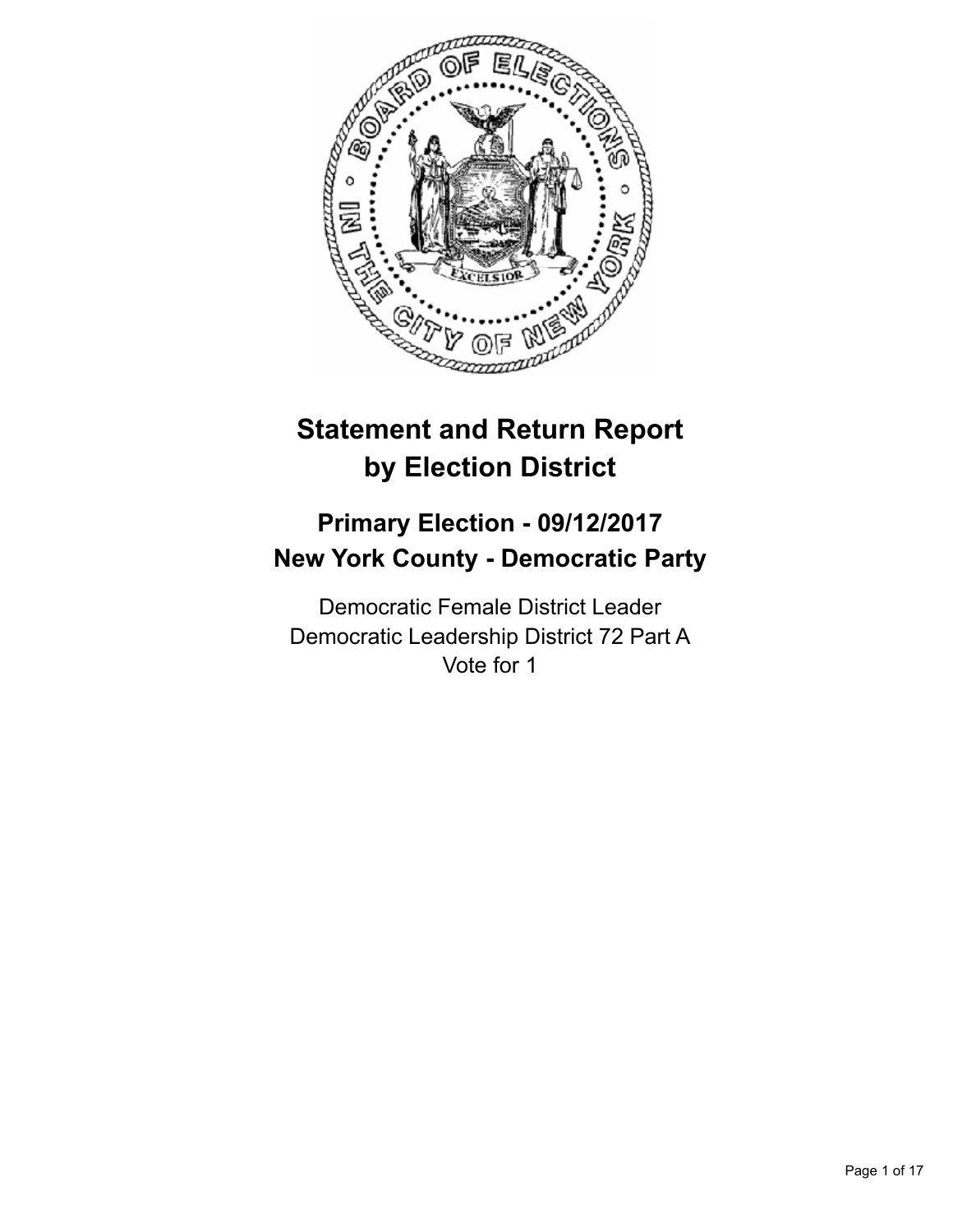

# **Statement and Return Report by Election District**

## **Primary Election - 09/12/2017 New York County - Democratic Party**

Democratic Female District Leader Democratic Leadership District 72 Part A Vote for 1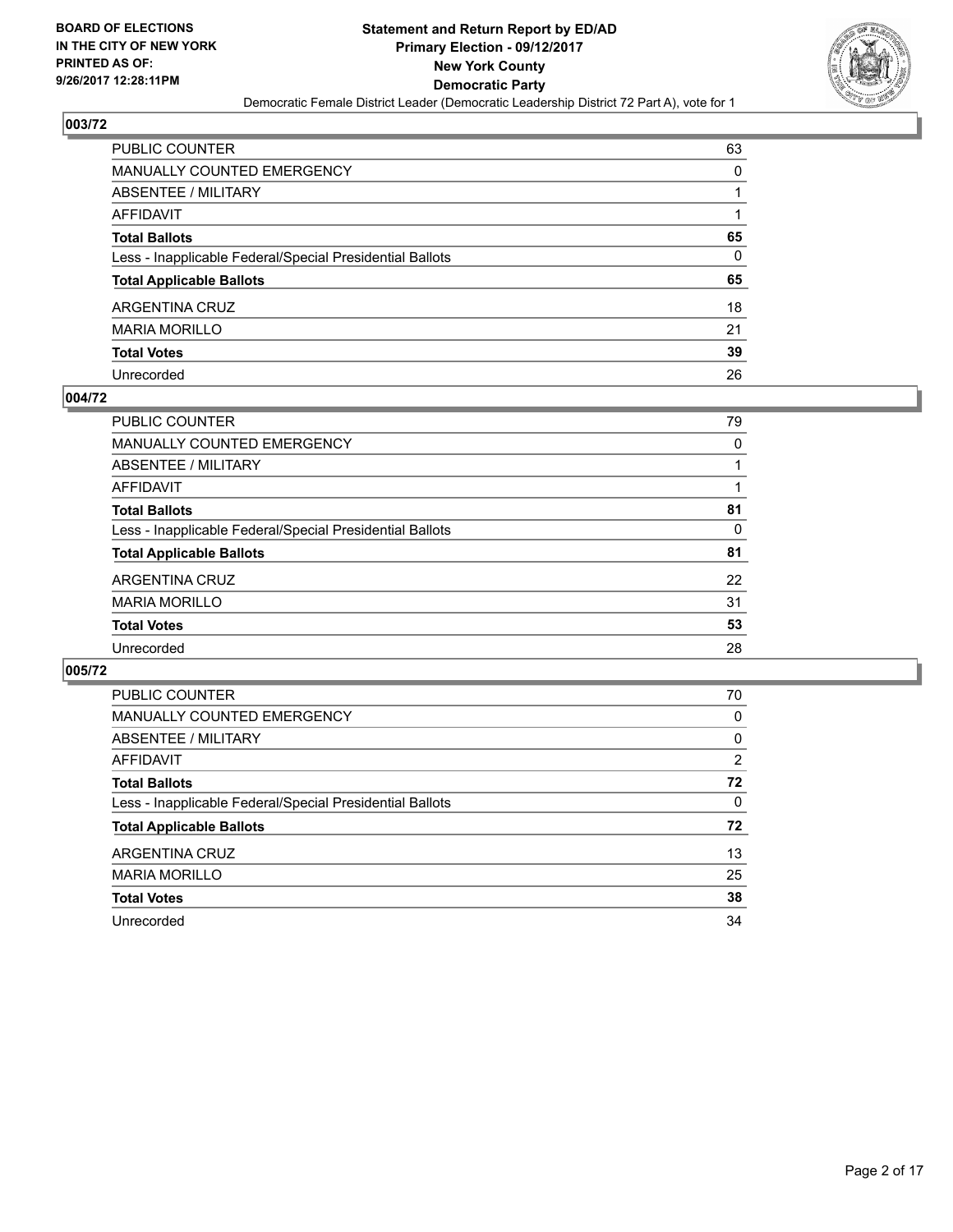

| PUBLIC COUNTER                                           | 63 |
|----------------------------------------------------------|----|
| MANUALLY COUNTED EMERGENCY                               | 0  |
| ABSENTEE / MILITARY                                      |    |
| AFFIDAVIT                                                |    |
| Total Ballots                                            | 65 |
| Less - Inapplicable Federal/Special Presidential Ballots | 0  |
| <b>Total Applicable Ballots</b>                          | 65 |
| ARGENTINA CRUZ                                           | 18 |
| MARIA MORILLO                                            | 21 |
| <b>Total Votes</b>                                       | 39 |
| Unrecorded                                               | 26 |

#### **004/72**

| <b>PUBLIC COUNTER</b>                                    | 79 |
|----------------------------------------------------------|----|
| MANUALLY COUNTED EMERGENCY                               | 0  |
| ABSENTEE / MILITARY                                      |    |
| AFFIDAVIT                                                |    |
| <b>Total Ballots</b>                                     | 81 |
| Less - Inapplicable Federal/Special Presidential Ballots | 0  |
| <b>Total Applicable Ballots</b>                          | 81 |
| ARGENTINA CRUZ                                           | 22 |
| <b>MARIA MORILLO</b>                                     | 31 |
| <b>Total Votes</b>                                       | 53 |
| Unrecorded                                               | 28 |
|                                                          |    |

| <b>PUBLIC COUNTER</b>                                    | 70             |
|----------------------------------------------------------|----------------|
| <b>MANUALLY COUNTED EMERGENCY</b>                        | 0              |
| ABSENTEE / MILITARY                                      | 0              |
| AFFIDAVIT                                                | $\overline{2}$ |
| <b>Total Ballots</b>                                     | 72             |
| Less - Inapplicable Federal/Special Presidential Ballots | 0              |
| <b>Total Applicable Ballots</b>                          | 72             |
| ARGENTINA CRUZ                                           | 13             |
| <b>MARIA MORILLO</b>                                     | 25             |
| <b>Total Votes</b>                                       | 38             |
| Unrecorded                                               | 34             |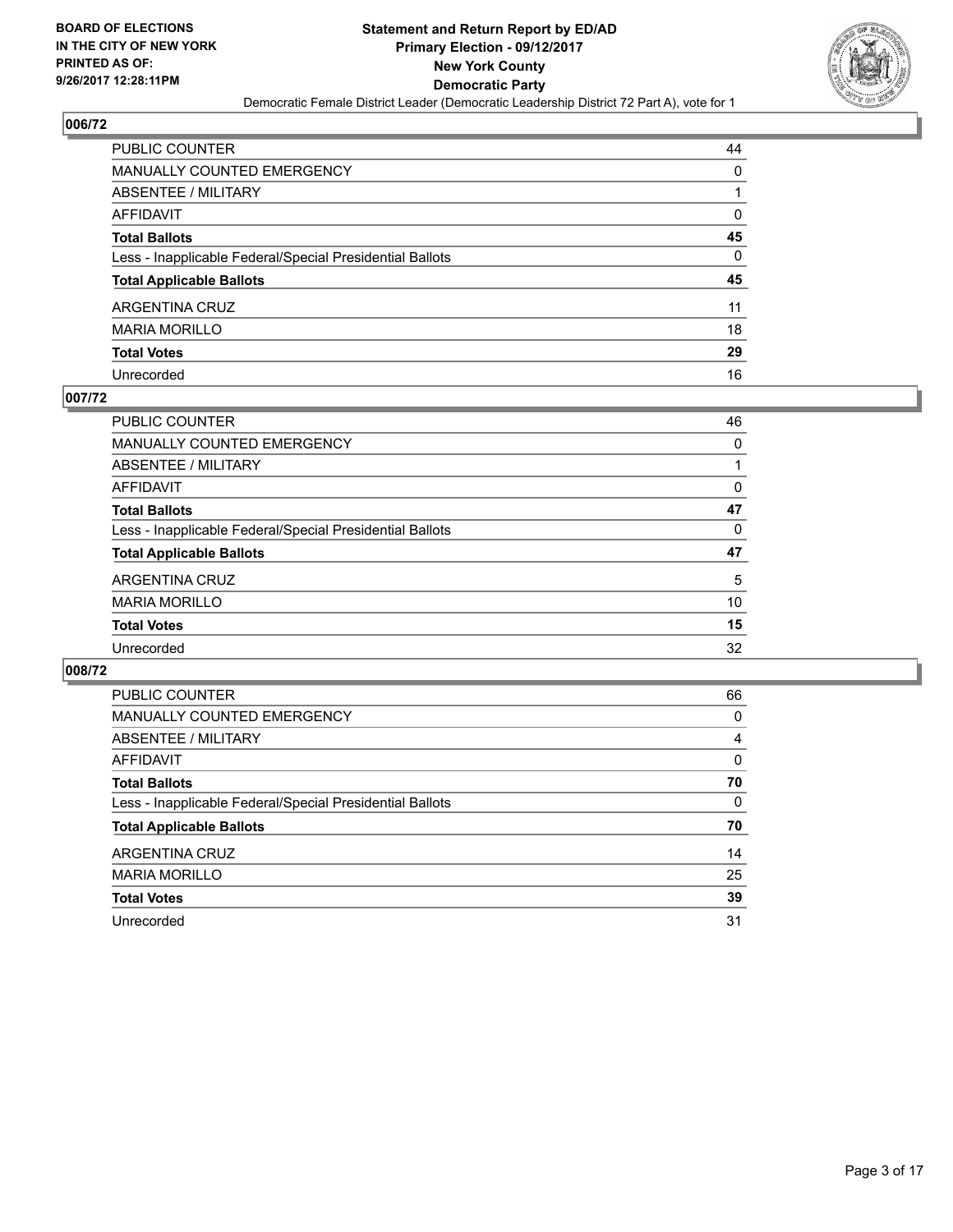

| PUBLIC COUNTER                                           | 44 |
|----------------------------------------------------------|----|
| <b>MANUALLY COUNTED EMERGENCY</b>                        | 0  |
| ABSENTEE / MILITARY                                      |    |
| AFFIDAVIT                                                | 0  |
| <b>Total Ballots</b>                                     | 45 |
| Less - Inapplicable Federal/Special Presidential Ballots | 0  |
| <b>Total Applicable Ballots</b>                          | 45 |
| ARGENTINA CRUZ                                           | 11 |
| <b>MARIA MORILLO</b>                                     | 18 |
| <b>Total Votes</b>                                       | 29 |
| Unrecorded                                               | 16 |

#### **007/72**

| <b>PUBLIC COUNTER</b>                                    | 46 |
|----------------------------------------------------------|----|
| MANUALLY COUNTED EMERGENCY                               | 0  |
| ABSENTEE / MILITARY                                      |    |
| AFFIDAVIT                                                | 0  |
| <b>Total Ballots</b>                                     | 47 |
| Less - Inapplicable Federal/Special Presidential Ballots | 0  |
| <b>Total Applicable Ballots</b>                          | 47 |
| ARGENTINA CRUZ                                           | 5  |
| <b>MARIA MORILLO</b>                                     | 10 |
| <b>Total Votes</b>                                       | 15 |
| Unrecorded                                               | 32 |

| <b>PUBLIC COUNTER</b>                                    | 66 |
|----------------------------------------------------------|----|
| <b>MANUALLY COUNTED EMERGENCY</b>                        | 0  |
| ABSENTEE / MILITARY                                      | 4  |
| AFFIDAVIT                                                | 0  |
| <b>Total Ballots</b>                                     | 70 |
| Less - Inapplicable Federal/Special Presidential Ballots | 0  |
| <b>Total Applicable Ballots</b>                          | 70 |
| ARGENTINA CRUZ                                           | 14 |
| <b>MARIA MORILLO</b>                                     | 25 |
| <b>Total Votes</b>                                       | 39 |
| Unrecorded                                               | 31 |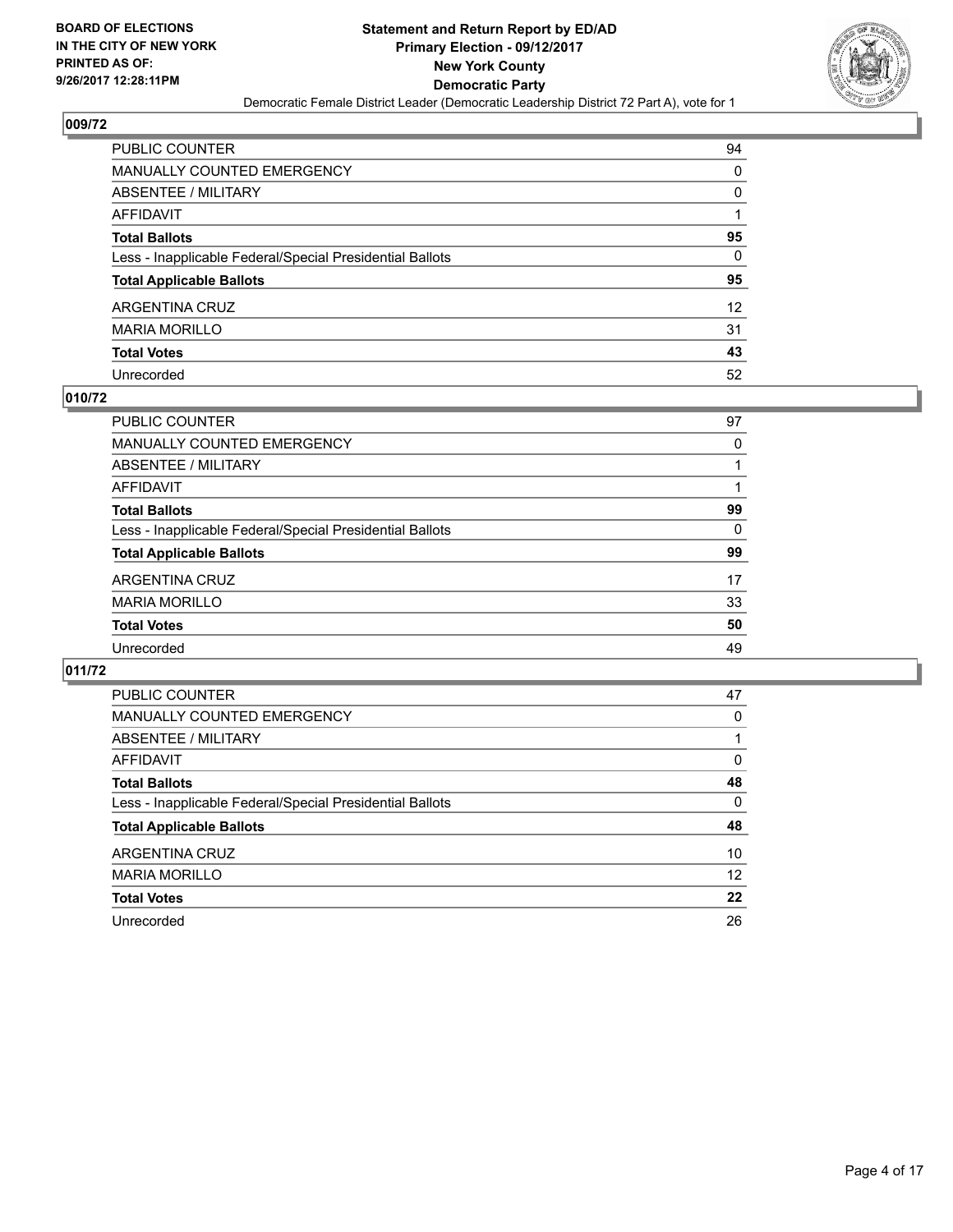

| PUBLIC COUNTER                                           | 94                |
|----------------------------------------------------------|-------------------|
| MANUALLY COUNTED EMERGENCY                               | 0                 |
| ABSENTEE / MILITARY                                      | 0                 |
| AFFIDAVIT                                                |                   |
| Total Ballots                                            | 95                |
| Less - Inapplicable Federal/Special Presidential Ballots | 0                 |
| <b>Total Applicable Ballots</b>                          | 95                |
| ARGENTINA CRUZ                                           | $12 \overline{ }$ |
| MARIA MORILLO                                            | 31                |
| <b>Total Votes</b>                                       | 43                |
| Unrecorded                                               | 52                |

#### **010/72**

| PUBLIC COUNTER                                           | 97 |
|----------------------------------------------------------|----|
| <b>MANUALLY COUNTED EMERGENCY</b>                        | 0  |
| ABSENTEE / MILITARY                                      |    |
| AFFIDAVIT                                                |    |
| <b>Total Ballots</b>                                     | 99 |
| Less - Inapplicable Federal/Special Presidential Ballots | 0  |
| <b>Total Applicable Ballots</b>                          | 99 |
| ARGENTINA CRUZ                                           | 17 |
| <b>MARIA MORILLO</b>                                     | 33 |
| <b>Total Votes</b>                                       | 50 |
| Unrecorded                                               | 49 |

| <b>PUBLIC COUNTER</b>                                    | 47 |
|----------------------------------------------------------|----|
| MANUALLY COUNTED EMERGENCY                               | 0  |
| ABSENTEE / MILITARY                                      |    |
| AFFIDAVIT                                                | 0  |
| <b>Total Ballots</b>                                     | 48 |
| Less - Inapplicable Federal/Special Presidential Ballots | 0  |
| <b>Total Applicable Ballots</b>                          | 48 |
| ARGENTINA CRUZ                                           | 10 |
| <b>MARIA MORILLO</b>                                     | 12 |
| <b>Total Votes</b>                                       | 22 |
| Unrecorded                                               | 26 |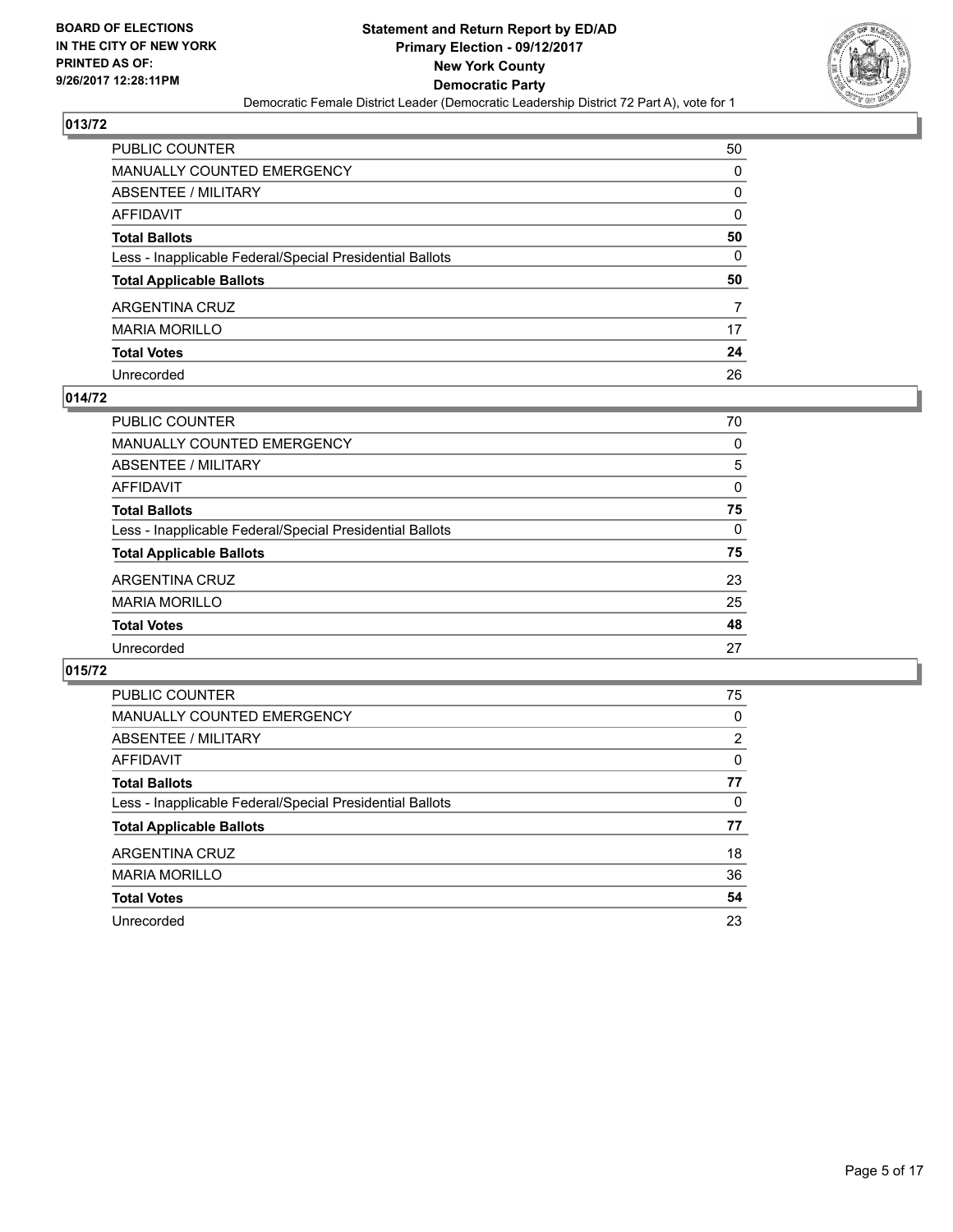

| PUBLIC COUNTER                                           | 50 |
|----------------------------------------------------------|----|
| MANUALLY COUNTED EMERGENCY                               | 0  |
| ABSENTEE / MILITARY                                      | 0  |
| AFFIDAVIT                                                | 0  |
| <b>Total Ballots</b>                                     | 50 |
| Less - Inapplicable Federal/Special Presidential Ballots | 0  |
| <b>Total Applicable Ballots</b>                          | 50 |
| ARGENTINA CRUZ                                           | 7  |
| <b>MARIA MORILLO</b>                                     | 17 |
| <b>Total Votes</b>                                       | 24 |
| Unrecorded                                               | 26 |

#### **014/72**

| 70       |
|----------|
| 0        |
| 5        |
| 0        |
| 75       |
| $\Omega$ |
| 75       |
| 23       |
| 25       |
| 48       |
| 27       |
|          |

| <b>PUBLIC COUNTER</b>                                    | 75             |
|----------------------------------------------------------|----------------|
| MANUALLY COUNTED EMERGENCY                               | 0              |
| ABSENTEE / MILITARY                                      | $\overline{2}$ |
| AFFIDAVIT                                                | 0              |
| <b>Total Ballots</b>                                     | 77             |
| Less - Inapplicable Federal/Special Presidential Ballots | 0              |
| <b>Total Applicable Ballots</b>                          | 77             |
| ARGENTINA CRUZ                                           | 18             |
| <b>MARIA MORILLO</b>                                     | 36             |
| <b>Total Votes</b>                                       | 54             |
| Unrecorded                                               | 23             |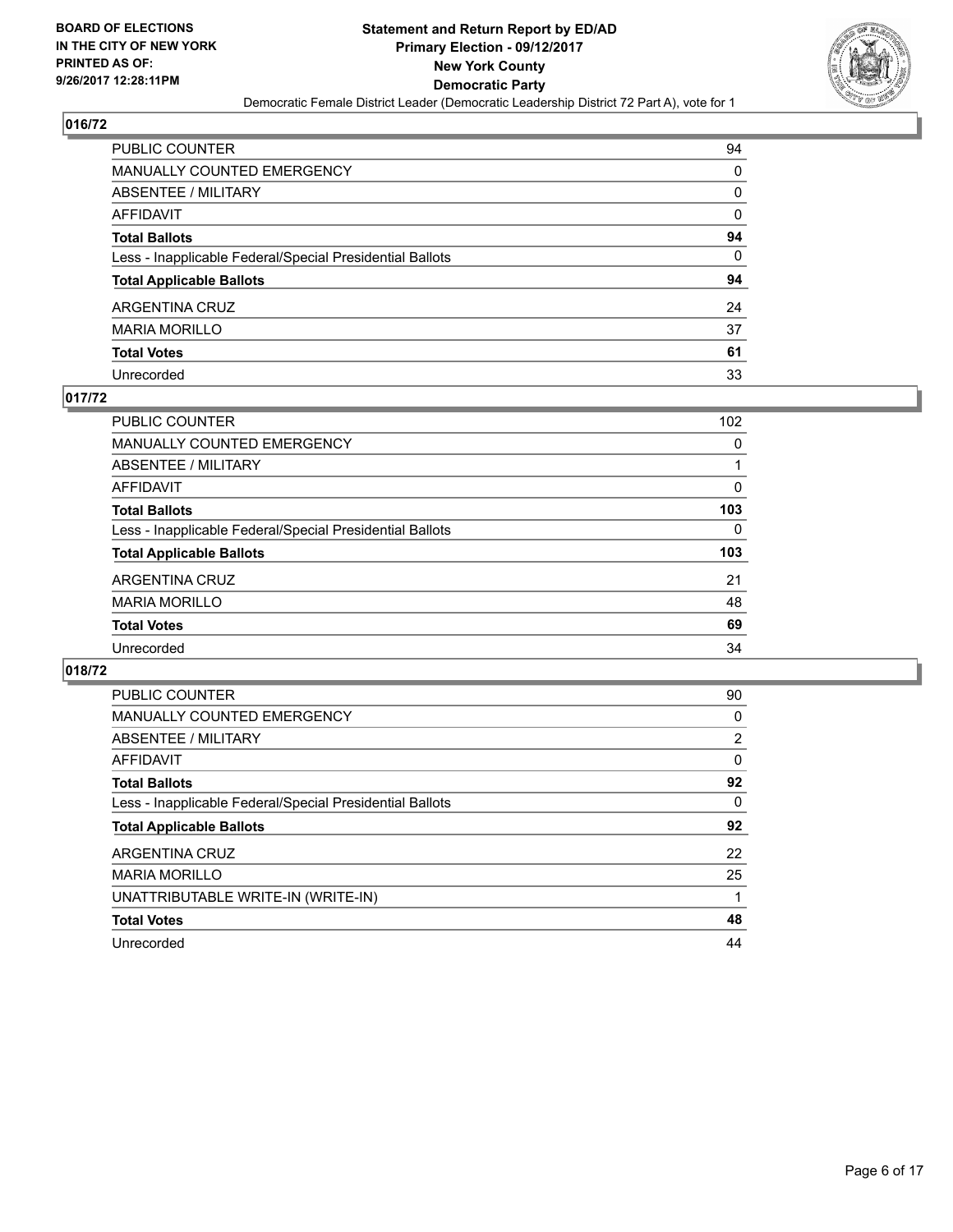

| PUBLIC COUNTER                                           | 94 |
|----------------------------------------------------------|----|
| MANUALLY COUNTED EMERGENCY                               | 0  |
| ABSENTEE / MILITARY                                      | 0  |
| AFFIDAVIT                                                | 0  |
| <b>Total Ballots</b>                                     | 94 |
| Less - Inapplicable Federal/Special Presidential Ballots | 0  |
| <b>Total Applicable Ballots</b>                          | 94 |
| ARGENTINA CRUZ                                           | 24 |
| <b>MARIA MORILLO</b>                                     | 37 |
| <b>Total Votes</b>                                       | 61 |
| Unrecorded                                               | 33 |

#### **017/72**

| PUBLIC COUNTER                                           | 102 |
|----------------------------------------------------------|-----|
| <b>MANUALLY COUNTED EMERGENCY</b>                        | 0   |
| ABSENTEE / MILITARY                                      |     |
| AFFIDAVIT                                                | 0   |
| <b>Total Ballots</b>                                     | 103 |
| Less - Inapplicable Federal/Special Presidential Ballots | 0   |
| <b>Total Applicable Ballots</b>                          | 103 |
| ARGENTINA CRUZ                                           | 21  |
| <b>MARIA MORILLO</b>                                     | 48  |
| <b>Total Votes</b>                                       | 69  |
| Unrecorded                                               | 34  |

| <b>PUBLIC COUNTER</b>                                    | 90 |
|----------------------------------------------------------|----|
| <b>MANUALLY COUNTED EMERGENCY</b>                        | 0  |
| ABSENTEE / MILITARY                                      | 2  |
| <b>AFFIDAVIT</b>                                         | 0  |
| <b>Total Ballots</b>                                     | 92 |
| Less - Inapplicable Federal/Special Presidential Ballots | 0  |
| <b>Total Applicable Ballots</b>                          | 92 |
| ARGENTINA CRUZ                                           | 22 |
| <b>MARIA MORILLO</b>                                     | 25 |
| UNATTRIBUTABLE WRITE-IN (WRITE-IN)                       |    |
| <b>Total Votes</b>                                       | 48 |
| Unrecorded                                               | 44 |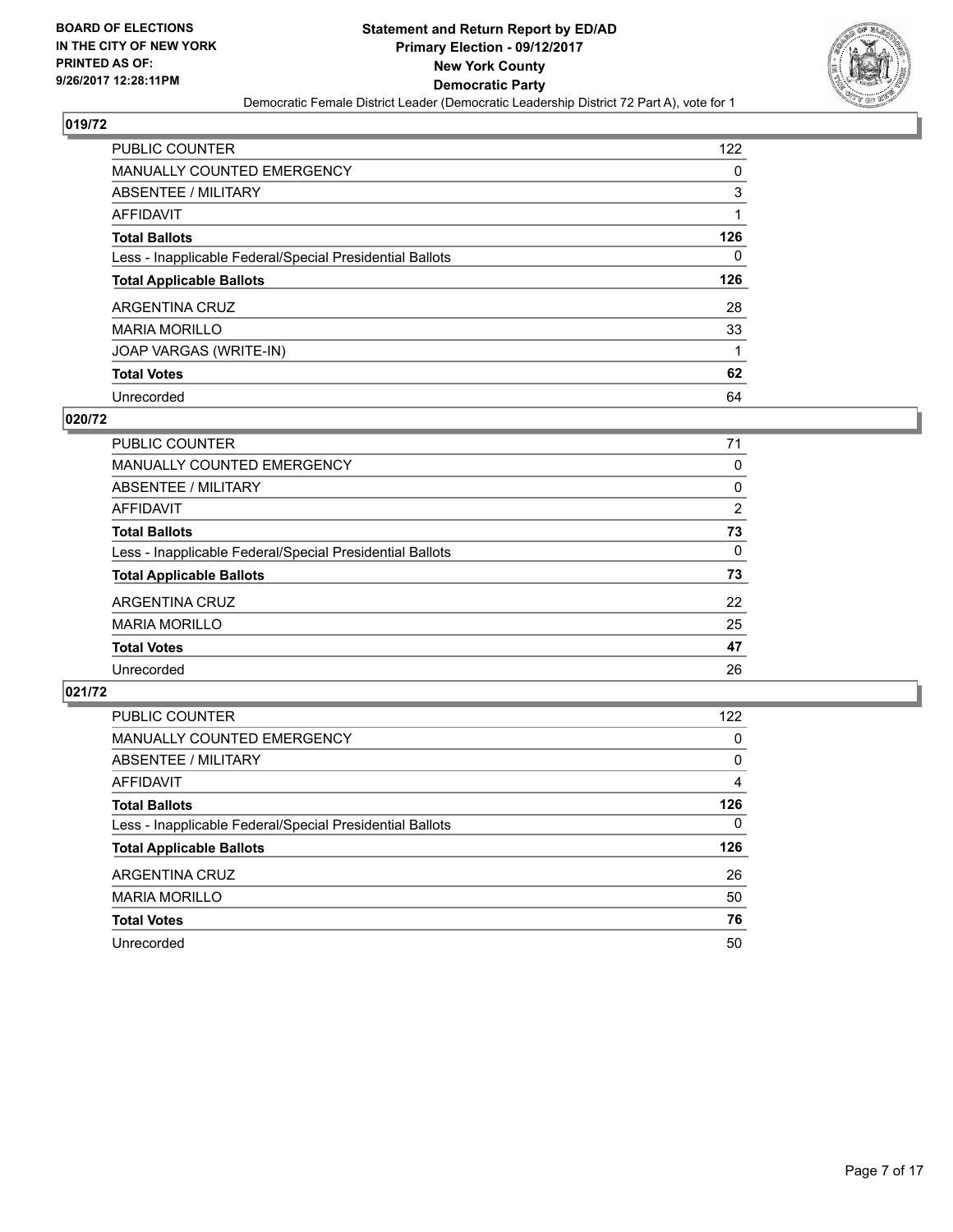

| <b>PUBLIC COUNTER</b>                                    | 122 |
|----------------------------------------------------------|-----|
| <b>MANUALLY COUNTED EMERGENCY</b>                        | 0   |
| ABSENTEE / MILITARY                                      | 3   |
| AFFIDAVIT                                                |     |
| <b>Total Ballots</b>                                     | 126 |
| Less - Inapplicable Federal/Special Presidential Ballots | 0   |
| <b>Total Applicable Ballots</b>                          | 126 |
| ARGENTINA CRUZ                                           | 28  |
| <b>MARIA MORILLO</b>                                     | 33  |
| JOAP VARGAS (WRITE-IN)                                   |     |
|                                                          |     |
| <b>Total Votes</b>                                       | 62  |

#### **020/72**

| PUBLIC COUNTER                                           | 71 |
|----------------------------------------------------------|----|
| MANUALLY COUNTED EMERGENCY                               | 0  |
| ABSENTEE / MILITARY                                      | 0  |
| AFFIDAVIT                                                | 2  |
| <b>Total Ballots</b>                                     | 73 |
| Less - Inapplicable Federal/Special Presidential Ballots | 0  |
| <b>Total Applicable Ballots</b>                          | 73 |
| <b>ARGENTINA CRUZ</b>                                    | 22 |
| <b>MARIA MORILLO</b>                                     | 25 |
| <b>Total Votes</b>                                       | 47 |
| Unrecorded                                               | 26 |

| <b>PUBLIC COUNTER</b>                                    | 122      |
|----------------------------------------------------------|----------|
| <b>MANUALLY COUNTED EMERGENCY</b>                        | 0        |
| ABSENTEE / MILITARY                                      | 0        |
| AFFIDAVIT                                                | 4        |
| <b>Total Ballots</b>                                     | 126      |
| Less - Inapplicable Federal/Special Presidential Ballots | $\Omega$ |
| <b>Total Applicable Ballots</b>                          | 126      |
| ARGENTINA CRUZ                                           | 26       |
| <b>MARIA MORILLO</b>                                     | 50       |
| <b>Total Votes</b>                                       | 76       |
| Unrecorded                                               | 50       |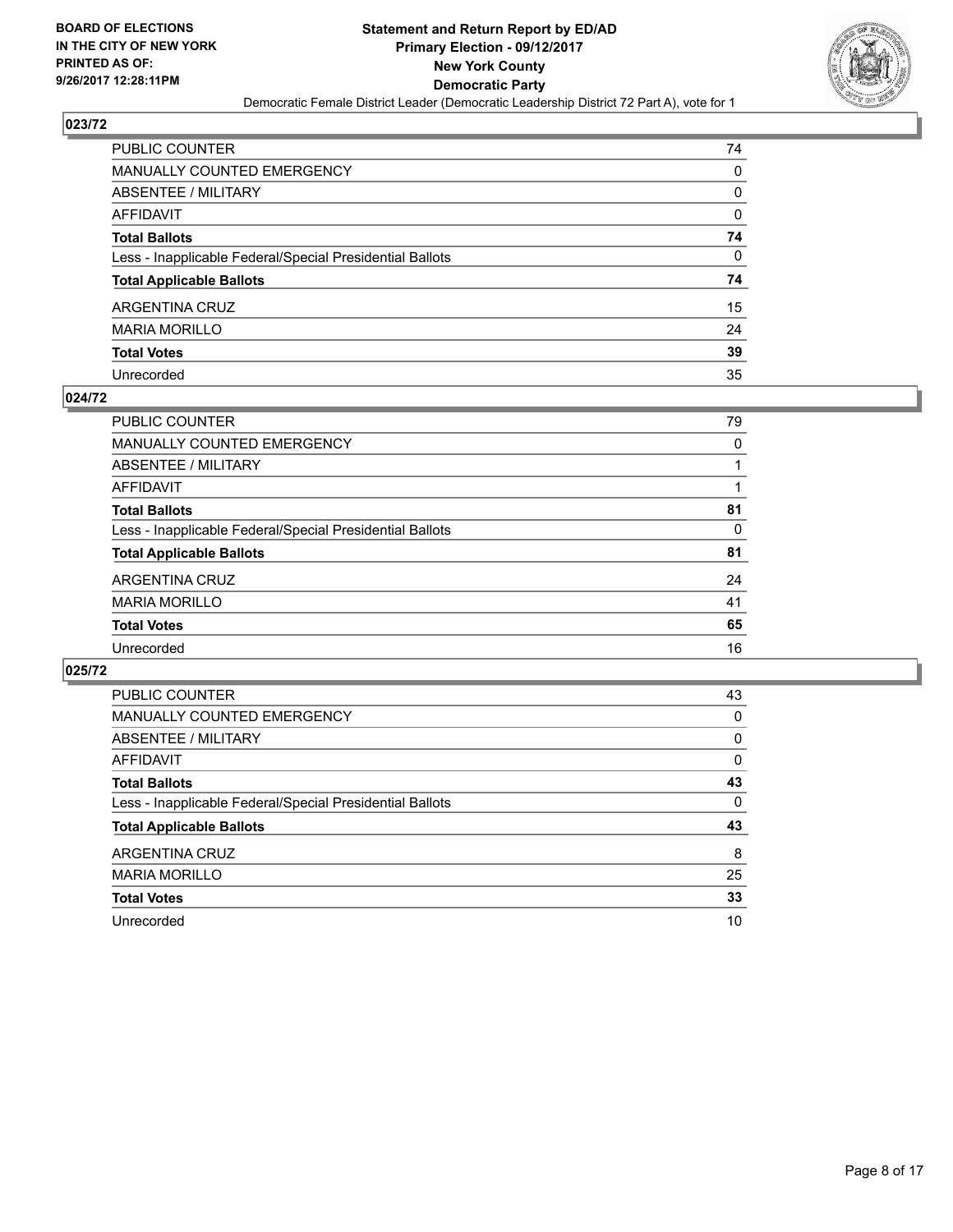

| PUBLIC COUNTER                                           | 74 |
|----------------------------------------------------------|----|
| MANUALLY COUNTED EMERGENCY                               | 0  |
| <b>ABSENTEE / MILITARY</b>                               | 0  |
| AFFIDAVIT                                                | 0  |
| <b>Total Ballots</b>                                     | 74 |
| Less - Inapplicable Federal/Special Presidential Ballots | 0  |
| <b>Total Applicable Ballots</b>                          | 74 |
| ARGENTINA CRUZ                                           | 15 |
| <b>MARIA MORILLO</b>                                     | 24 |
| <b>Total Votes</b>                                       | 39 |
| Unrecorded                                               | 35 |

#### **024/72**

| 79 |
|----|
|    |
| 0  |
|    |
|    |
| 81 |
| 0  |
| 81 |
| 24 |
| 41 |
| 65 |
| 16 |
|    |

| <b>PUBLIC COUNTER</b>                                    | 43 |
|----------------------------------------------------------|----|
| MANUALLY COUNTED EMERGENCY                               | 0  |
| ABSENTEE / MILITARY                                      | 0  |
| AFFIDAVIT                                                | 0  |
| <b>Total Ballots</b>                                     | 43 |
| Less - Inapplicable Federal/Special Presidential Ballots | 0  |
| <b>Total Applicable Ballots</b>                          | 43 |
| ARGENTINA CRUZ                                           | 8  |
| <b>MARIA MORILLO</b>                                     | 25 |
| <b>Total Votes</b>                                       | 33 |
| Unrecorded                                               | 10 |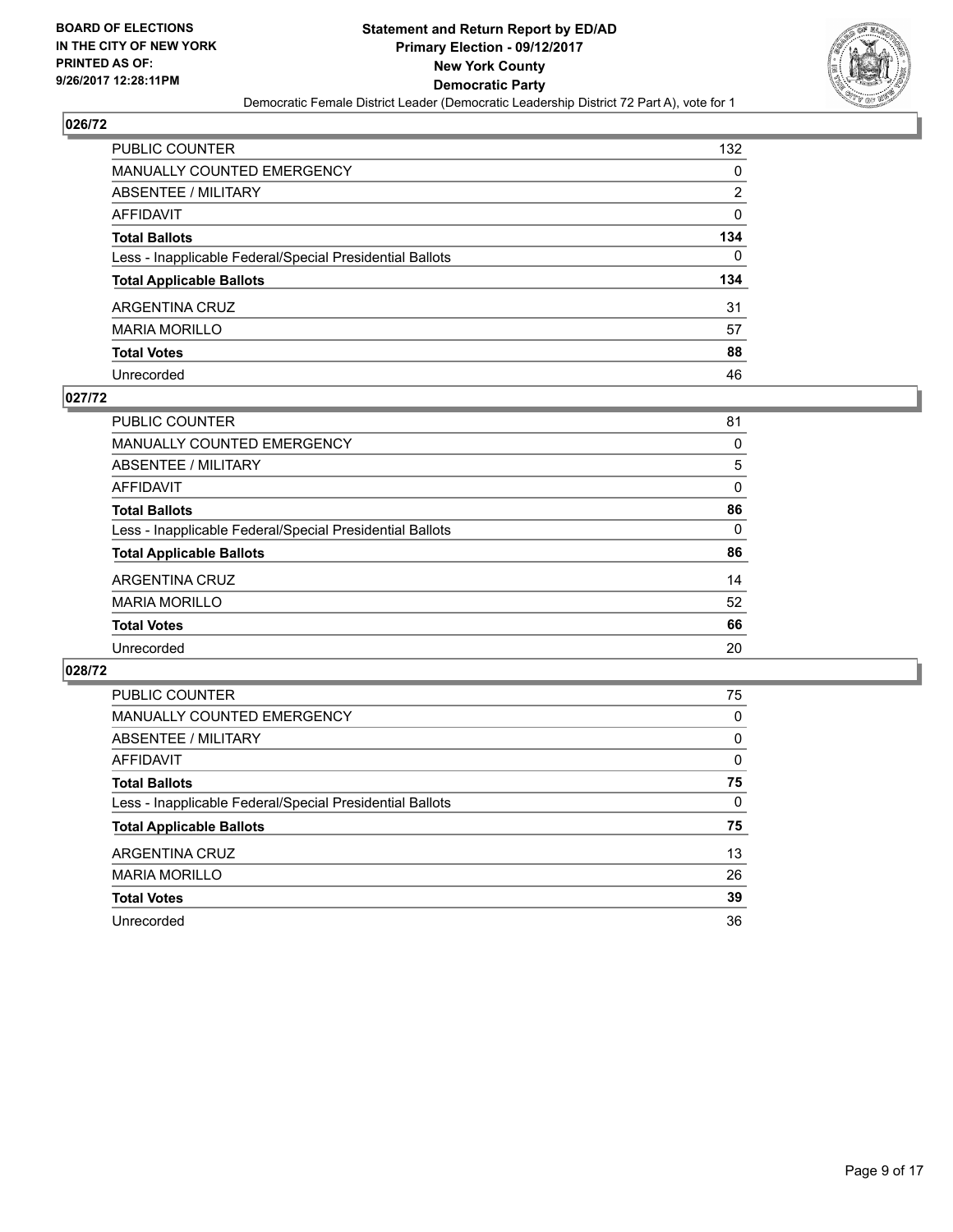

| PUBLIC COUNTER                                           | 132 |
|----------------------------------------------------------|-----|
| <b>MANUALLY COUNTED EMERGENCY</b>                        | 0   |
| ABSENTEE / MILITARY                                      | 2   |
| AFFIDAVIT                                                | 0   |
| <b>Total Ballots</b>                                     | 134 |
| Less - Inapplicable Federal/Special Presidential Ballots | 0   |
| <b>Total Applicable Ballots</b>                          | 134 |
| ARGENTINA CRUZ                                           | 31  |
| <b>MARIA MORILLO</b>                                     | 57  |
| <b>Total Votes</b>                                       | 88  |
| Unrecorded                                               | 46  |

#### **027/72**

| <b>PUBLIC COUNTER</b>                                    | 81       |
|----------------------------------------------------------|----------|
| <b>MANUALLY COUNTED EMERGENCY</b>                        | 0        |
| ABSENTEE / MILITARY                                      | 5        |
| AFFIDAVIT                                                | 0        |
| <b>Total Ballots</b>                                     | 86       |
| Less - Inapplicable Federal/Special Presidential Ballots | $\Omega$ |
| <b>Total Applicable Ballots</b>                          | 86       |
| ARGENTINA CRUZ                                           | 14       |
| <b>MARIA MORILLO</b>                                     | 52       |
| <b>Total Votes</b>                                       | 66       |
| Unrecorded                                               | 20       |

| <b>PUBLIC COUNTER</b>                                    | 75 |
|----------------------------------------------------------|----|
| <b>MANUALLY COUNTED EMERGENCY</b>                        | 0  |
| ABSENTEE / MILITARY                                      | 0  |
| AFFIDAVIT                                                | 0  |
| <b>Total Ballots</b>                                     | 75 |
| Less - Inapplicable Federal/Special Presidential Ballots | 0  |
| <b>Total Applicable Ballots</b>                          | 75 |
| ARGENTINA CRUZ                                           | 13 |
| <b>MARIA MORILLO</b>                                     | 26 |
|                                                          |    |
| <b>Total Votes</b>                                       | 39 |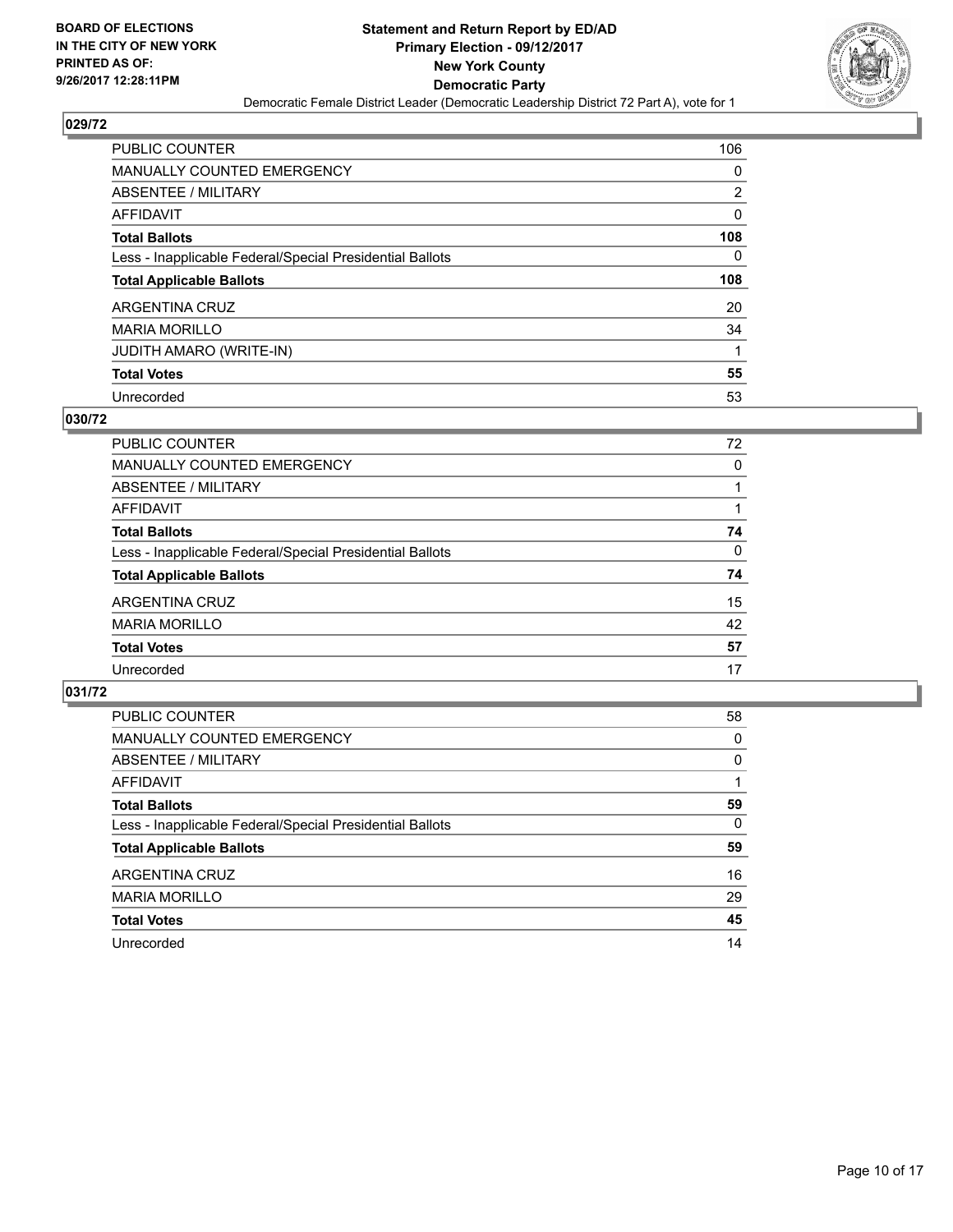

| <b>PUBLIC COUNTER</b>                                    | 106            |
|----------------------------------------------------------|----------------|
| <b>MANUALLY COUNTED EMERGENCY</b>                        | 0              |
| ABSENTEE / MILITARY                                      | $\overline{2}$ |
| AFFIDAVIT                                                | 0              |
| <b>Total Ballots</b>                                     | 108            |
| Less - Inapplicable Federal/Special Presidential Ballots | 0              |
| <b>Total Applicable Ballots</b>                          | 108            |
| ARGENTINA CRUZ                                           | 20             |
| <b>MARIA MORILLO</b>                                     | 34             |
| JUDITH AMARO (WRITE-IN)                                  |                |
|                                                          |                |
| <b>Total Votes</b>                                       | 55             |

#### **030/72**

| <b>PUBLIC COUNTER</b>                                    | 72 |
|----------------------------------------------------------|----|
| MANUALLY COUNTED EMERGENCY                               | 0  |
| ABSENTEE / MILITARY                                      |    |
| AFFIDAVIT                                                |    |
| <b>Total Ballots</b>                                     | 74 |
| Less - Inapplicable Federal/Special Presidential Ballots | 0  |
| <b>Total Applicable Ballots</b>                          | 74 |
| ARGENTINA CRUZ                                           | 15 |
| <b>MARIA MORILLO</b>                                     | 42 |
| <b>Total Votes</b>                                       | 57 |
| Unrecorded                                               | 17 |
|                                                          |    |

| <b>PUBLIC COUNTER</b>                                    | 58 |
|----------------------------------------------------------|----|
| MANUALLY COUNTED EMERGENCY                               | 0  |
| ABSENTEE / MILITARY                                      | 0  |
| AFFIDAVIT                                                |    |
| <b>Total Ballots</b>                                     | 59 |
| Less - Inapplicable Federal/Special Presidential Ballots | 0  |
| <b>Total Applicable Ballots</b>                          | 59 |
| ARGENTINA CRUZ                                           | 16 |
| <b>MARIA MORILLO</b>                                     | 29 |
| <b>Total Votes</b>                                       | 45 |
| Unrecorded                                               | 14 |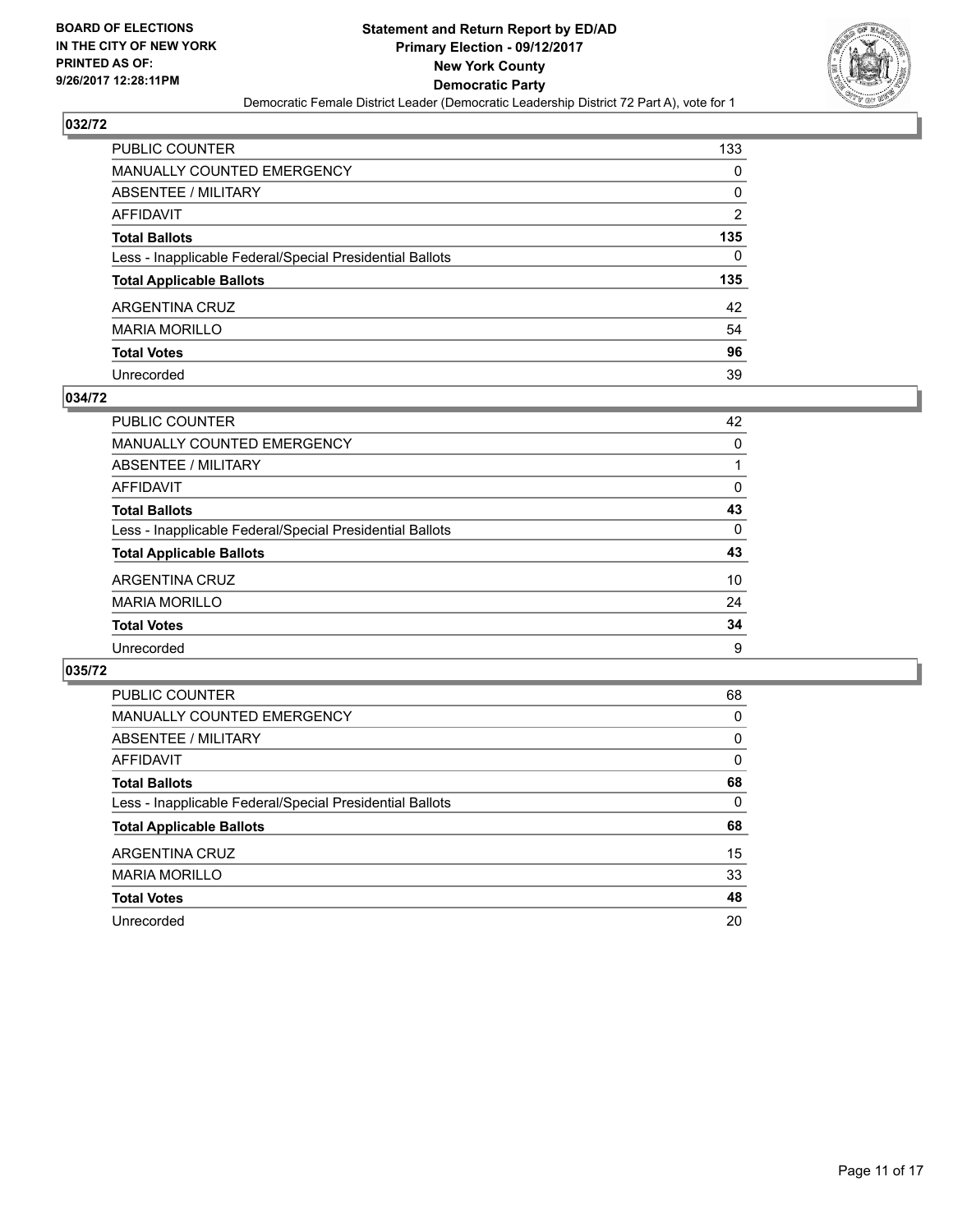

| PUBLIC COUNTER                                           | 133 |
|----------------------------------------------------------|-----|
| <b>MANUALLY COUNTED EMERGENCY</b>                        | 0   |
| ABSENTEE / MILITARY                                      | 0   |
| AFFIDAVIT                                                | 2   |
| <b>Total Ballots</b>                                     | 135 |
| Less - Inapplicable Federal/Special Presidential Ballots | 0   |
| <b>Total Applicable Ballots</b>                          | 135 |
| ARGENTINA CRUZ                                           | 42  |
| <b>MARIA MORILLO</b>                                     | 54  |
| <b>Total Votes</b>                                       | 96  |
| Unrecorded                                               | 39  |

#### **034/72**

| PUBLIC COUNTER                                           | 42 |
|----------------------------------------------------------|----|
| MANUALLY COUNTED EMERGENCY                               | 0  |
| ABSENTEE / MILITARY                                      |    |
| AFFIDAVIT                                                | 0  |
| <b>Total Ballots</b>                                     | 43 |
| Less - Inapplicable Federal/Special Presidential Ballots | 0  |
| <b>Total Applicable Ballots</b>                          | 43 |
| ARGENTINA CRUZ                                           | 10 |
| <b>MARIA MORILLO</b>                                     | 24 |
| <b>Total Votes</b>                                       | 34 |
| Unrecorded                                               | 9  |

| <b>PUBLIC COUNTER</b>                                    | 68 |
|----------------------------------------------------------|----|
| <b>MANUALLY COUNTED EMERGENCY</b>                        | 0  |
| ABSENTEE / MILITARY                                      | 0  |
| AFFIDAVIT                                                | 0  |
| <b>Total Ballots</b>                                     | 68 |
| Less - Inapplicable Federal/Special Presidential Ballots | 0  |
| <b>Total Applicable Ballots</b>                          | 68 |
| ARGENTINA CRUZ                                           | 15 |
| <b>MARIA MORILLO</b>                                     | 33 |
| <b>Total Votes</b>                                       | 48 |
| Unrecorded                                               | 20 |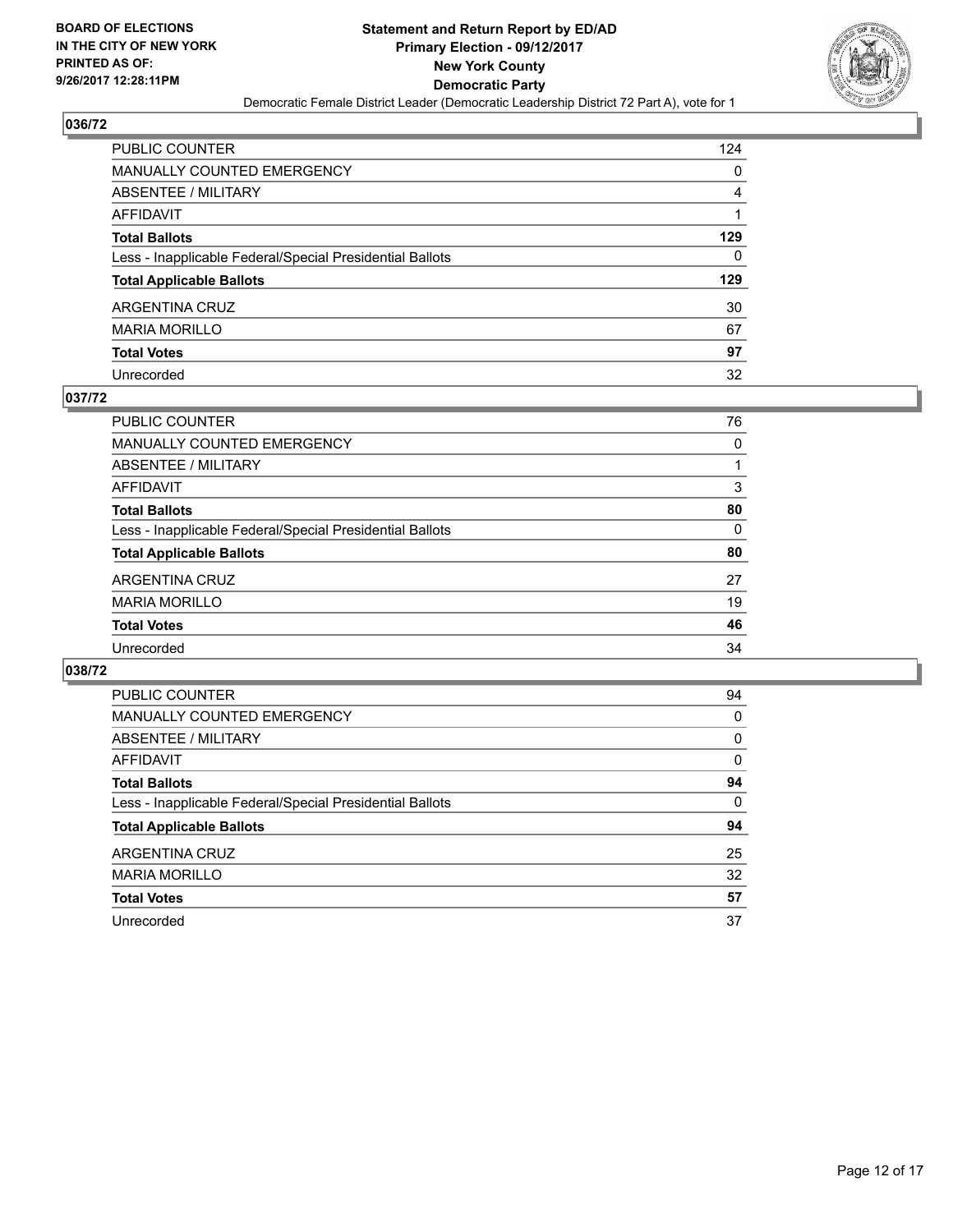

| PUBLIC COUNTER                                           | 124 |
|----------------------------------------------------------|-----|
| <b>MANUALLY COUNTED EMERGENCY</b>                        | 0   |
| ABSENTEE / MILITARY                                      | 4   |
| AFFIDAVIT                                                |     |
| <b>Total Ballots</b>                                     | 129 |
| Less - Inapplicable Federal/Special Presidential Ballots | 0   |
| <b>Total Applicable Ballots</b>                          | 129 |
| ARGENTINA CRUZ                                           | 30  |
| <b>MARIA MORILLO</b>                                     | 67  |
| <b>Total Votes</b>                                       | 97  |
| Unrecorded                                               | 32  |

#### **037/72**

| <b>PUBLIC COUNTER</b>                                    | 76 |
|----------------------------------------------------------|----|
| MANUALLY COUNTED EMERGENCY                               | 0  |
| ABSENTEE / MILITARY                                      |    |
| AFFIDAVIT                                                | 3  |
| <b>Total Ballots</b>                                     | 80 |
| Less - Inapplicable Federal/Special Presidential Ballots | 0  |
| <b>Total Applicable Ballots</b>                          | 80 |
| ARGENTINA CRUZ                                           | 27 |
| <b>MARIA MORILLO</b>                                     | 19 |
| <b>Total Votes</b>                                       | 46 |
| Unrecorded                                               | 34 |
|                                                          |    |

| <b>PUBLIC COUNTER</b>                                    | 94 |
|----------------------------------------------------------|----|
| <b>MANUALLY COUNTED EMERGENCY</b>                        | 0  |
| ABSENTEE / MILITARY                                      | 0  |
| AFFIDAVIT                                                | 0  |
| <b>Total Ballots</b>                                     | 94 |
| Less - Inapplicable Federal/Special Presidential Ballots | 0  |
| <b>Total Applicable Ballots</b>                          | 94 |
| ARGENTINA CRUZ                                           | 25 |
| <b>MARIA MORILLO</b>                                     | 32 |
| <b>Total Votes</b>                                       | 57 |
| Unrecorded                                               | 37 |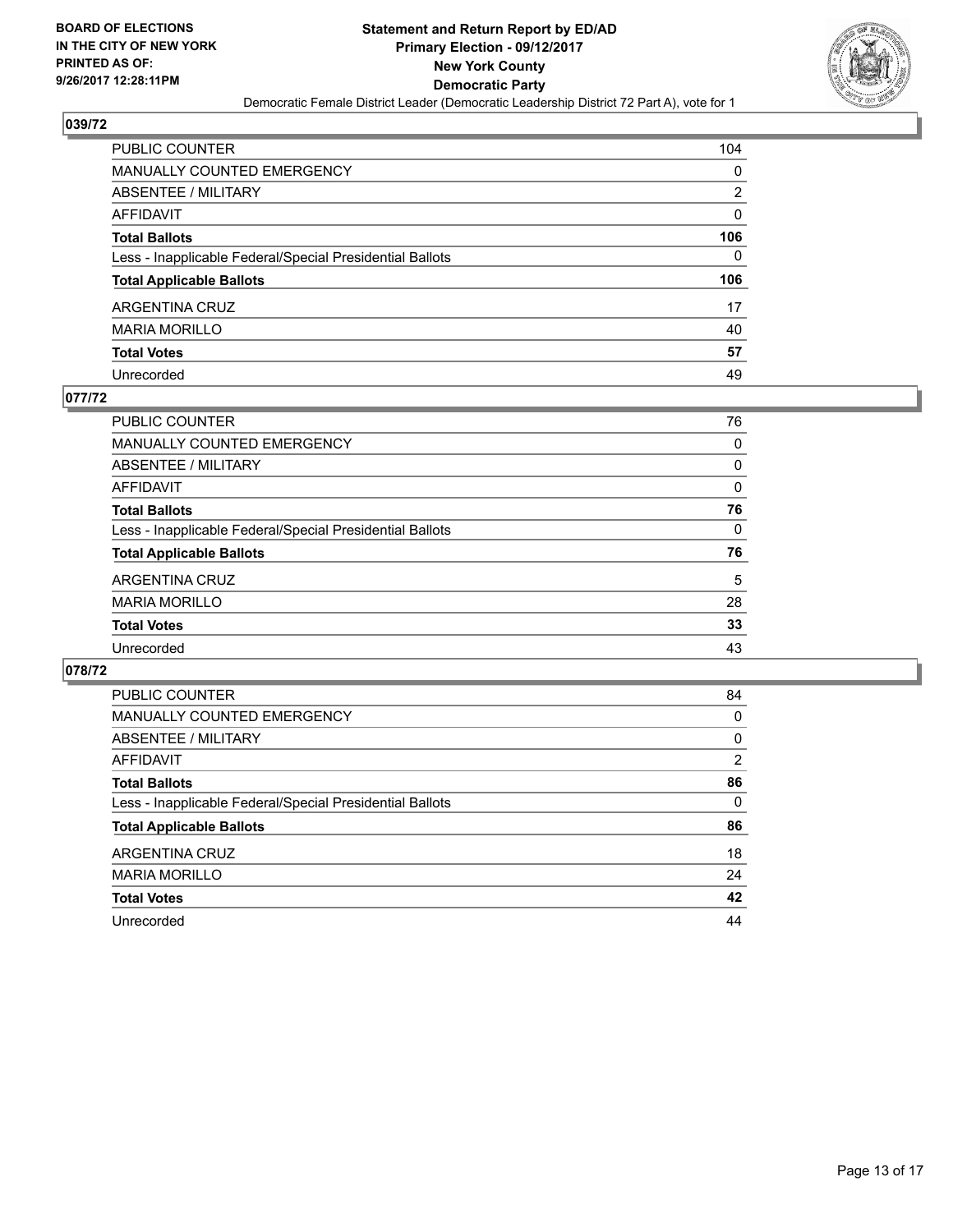

| PUBLIC COUNTER                                           | 104 |
|----------------------------------------------------------|-----|
| MANUALLY COUNTED EMERGENCY                               | 0   |
| <b>ABSENTEE / MILITARY</b>                               | 2   |
| AFFIDAVIT                                                | 0   |
| <b>Total Ballots</b>                                     | 106 |
| Less - Inapplicable Federal/Special Presidential Ballots | 0   |
| <b>Total Applicable Ballots</b>                          | 106 |
| ARGENTINA CRUZ                                           | 17  |
| <b>MARIA MORILLO</b>                                     | 40  |
| <b>Total Votes</b>                                       | 57  |
| Unrecorded                                               | 49  |

#### **077/72**

| PUBLIC COUNTER                                           | 76       |
|----------------------------------------------------------|----------|
| MANUALLY COUNTED EMERGENCY                               | 0        |
| ABSENTEE / MILITARY                                      | 0        |
| AFFIDAVIT                                                | $\Omega$ |
| <b>Total Ballots</b>                                     | 76       |
| Less - Inapplicable Federal/Special Presidential Ballots | 0        |
| <b>Total Applicable Ballots</b>                          | 76       |
| ARGENTINA CRUZ                                           | 5        |
| <b>MARIA MORILLO</b>                                     | 28       |
| <b>Total Votes</b>                                       | 33       |
| Unrecorded                                               | 43       |
|                                                          |          |

| <b>PUBLIC COUNTER</b>                                    | 84             |
|----------------------------------------------------------|----------------|
| <b>MANUALLY COUNTED EMERGENCY</b>                        | 0              |
| ABSENTEE / MILITARY                                      | 0              |
| AFFIDAVIT                                                | $\overline{2}$ |
| <b>Total Ballots</b>                                     | 86             |
| Less - Inapplicable Federal/Special Presidential Ballots | 0              |
| <b>Total Applicable Ballots</b>                          | 86             |
| ARGENTINA CRUZ                                           | 18             |
| <b>MARIA MORILLO</b>                                     | 24             |
| <b>Total Votes</b>                                       | 42             |
| Unrecorded                                               | 44             |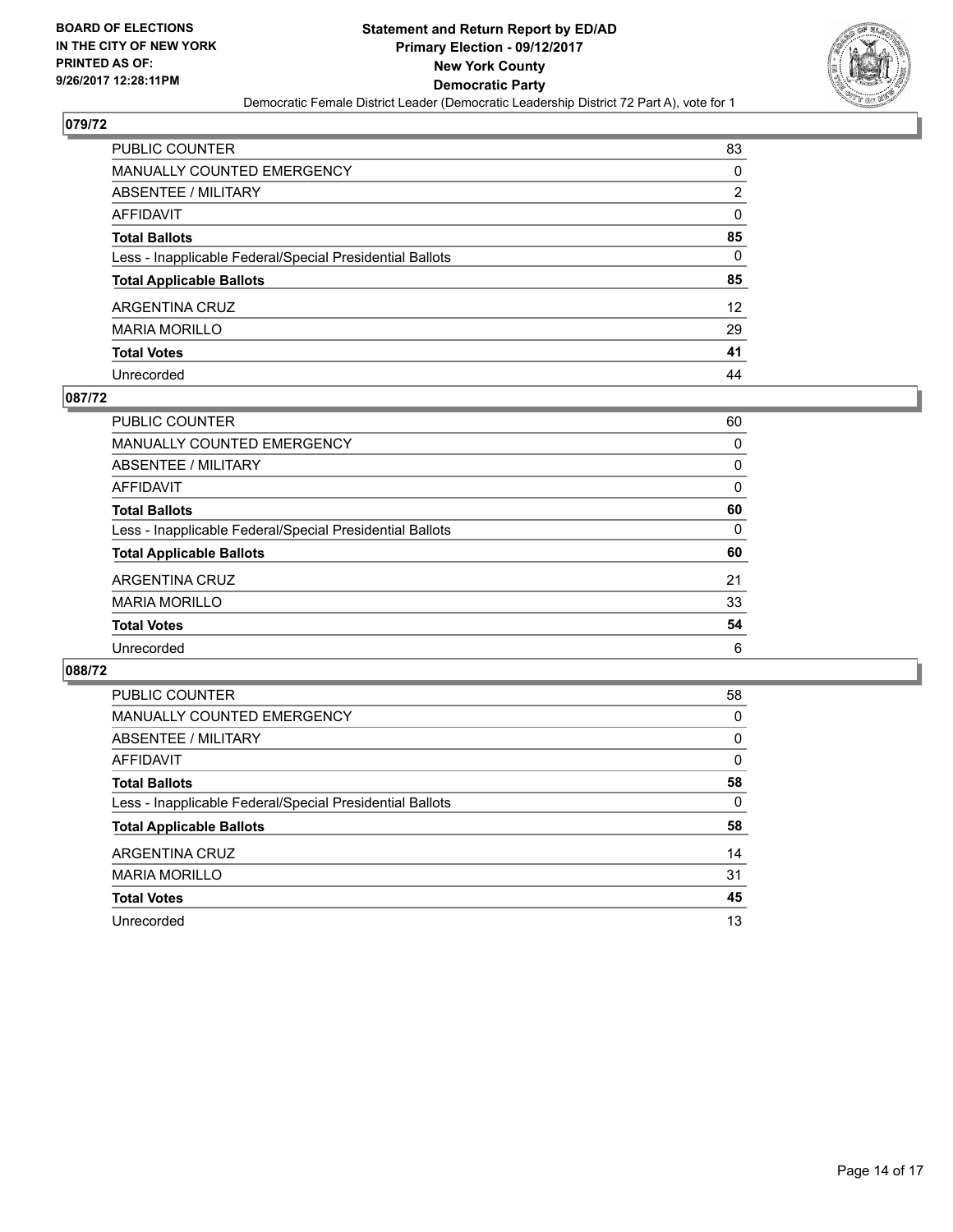

| PUBLIC COUNTER                                           | 83                |
|----------------------------------------------------------|-------------------|
| <b>MANUALLY COUNTED EMERGENCY</b>                        | 0                 |
| <b>ABSENTEE / MILITARY</b>                               | 2                 |
| AFFIDAVIT                                                | 0                 |
| <b>Total Ballots</b>                                     | 85                |
| Less - Inapplicable Federal/Special Presidential Ballots | 0                 |
| <b>Total Applicable Ballots</b>                          | 85                |
| ARGENTINA CRUZ                                           | $12 \overline{ }$ |
| <b>MARIA MORILLO</b>                                     | 29                |
| <b>Total Votes</b>                                       | 41                |
| Unrecorded                                               | 44                |

#### **087/72**

| PUBLIC COUNTER                                           | 60       |
|----------------------------------------------------------|----------|
| MANUALLY COUNTED EMERGENCY                               | 0        |
| ABSENTEE / MILITARY                                      | 0        |
| AFFIDAVIT                                                | $\Omega$ |
| <b>Total Ballots</b>                                     | 60       |
| Less - Inapplicable Federal/Special Presidential Ballots | 0        |
| <b>Total Applicable Ballots</b>                          | 60       |
| ARGENTINA CRUZ                                           | 21       |
| <b>MARIA MORILLO</b>                                     | 33       |
| <b>Total Votes</b>                                       | 54       |
| Unrecorded                                               | 6        |

| <b>PUBLIC COUNTER</b>                                    | 58 |
|----------------------------------------------------------|----|
| <b>MANUALLY COUNTED EMERGENCY</b>                        | 0  |
| ABSENTEE / MILITARY                                      | 0  |
| AFFIDAVIT                                                | 0  |
| <b>Total Ballots</b>                                     | 58 |
| Less - Inapplicable Federal/Special Presidential Ballots | 0  |
| <b>Total Applicable Ballots</b>                          | 58 |
| ARGENTINA CRUZ                                           | 14 |
| <b>MARIA MORILLO</b>                                     | 31 |
| <b>Total Votes</b>                                       | 45 |
| Unrecorded                                               | 13 |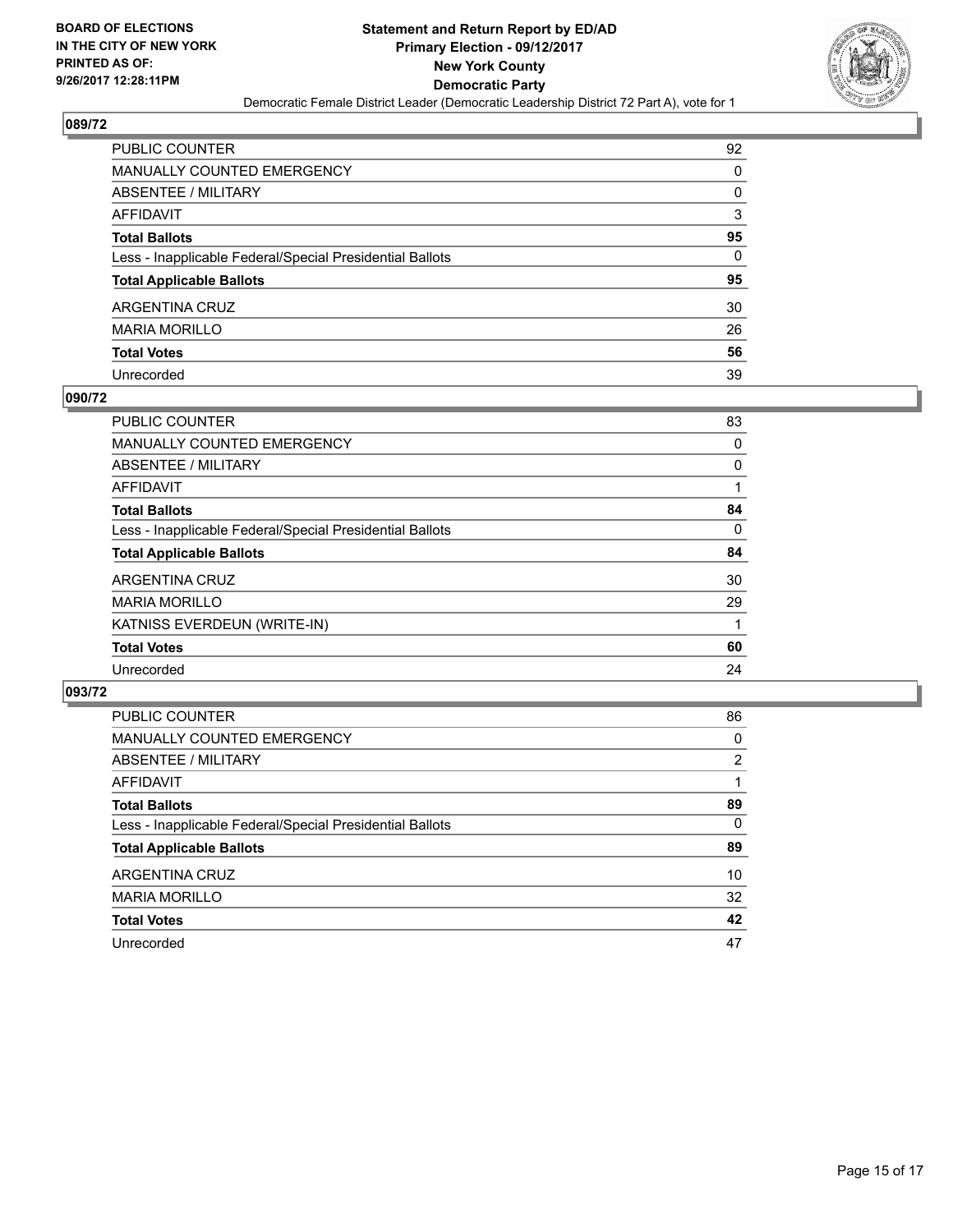

| PUBLIC COUNTER                                           | 92 |
|----------------------------------------------------------|----|
| MANUALLY COUNTED EMERGENCY                               | 0  |
| ABSENTEE / MILITARY                                      | 0  |
| AFFIDAVIT                                                | 3  |
| Total Ballots                                            | 95 |
| Less - Inapplicable Federal/Special Presidential Ballots | 0  |
| <b>Total Applicable Ballots</b>                          | 95 |
| ARGENTINA CRUZ                                           | 30 |
| MARIA MORILLO                                            | 26 |
| <b>Total Votes</b>                                       | 56 |
| Unrecorded                                               | 39 |

#### **090/72**

| <b>PUBLIC COUNTER</b>                                    | 83 |
|----------------------------------------------------------|----|
| <b>MANUALLY COUNTED EMERGENCY</b>                        | 0  |
| ABSENTEE / MILITARY                                      | 0  |
| AFFIDAVIT                                                |    |
| <b>Total Ballots</b>                                     | 84 |
| Less - Inapplicable Federal/Special Presidential Ballots | 0  |
| <b>Total Applicable Ballots</b>                          | 84 |
| ARGENTINA CRUZ                                           | 30 |
| <b>MARIA MORILLO</b>                                     | 29 |
| KATNISS EVERDEUN (WRITE-IN)                              |    |
| <b>Total Votes</b>                                       | 60 |
| Unrecorded                                               | 24 |
|                                                          |    |

| <b>PUBLIC COUNTER</b>                                    | 86 |
|----------------------------------------------------------|----|
| MANUALLY COUNTED EMERGENCY                               | 0  |
| ABSENTEE / MILITARY                                      | 2  |
| AFFIDAVIT                                                |    |
| <b>Total Ballots</b>                                     | 89 |
| Less - Inapplicable Federal/Special Presidential Ballots | 0  |
| <b>Total Applicable Ballots</b>                          | 89 |
| ARGENTINA CRUZ                                           | 10 |
| <b>MARIA MORILLO</b>                                     | 32 |
| <b>Total Votes</b>                                       | 42 |
| Unrecorded                                               | 47 |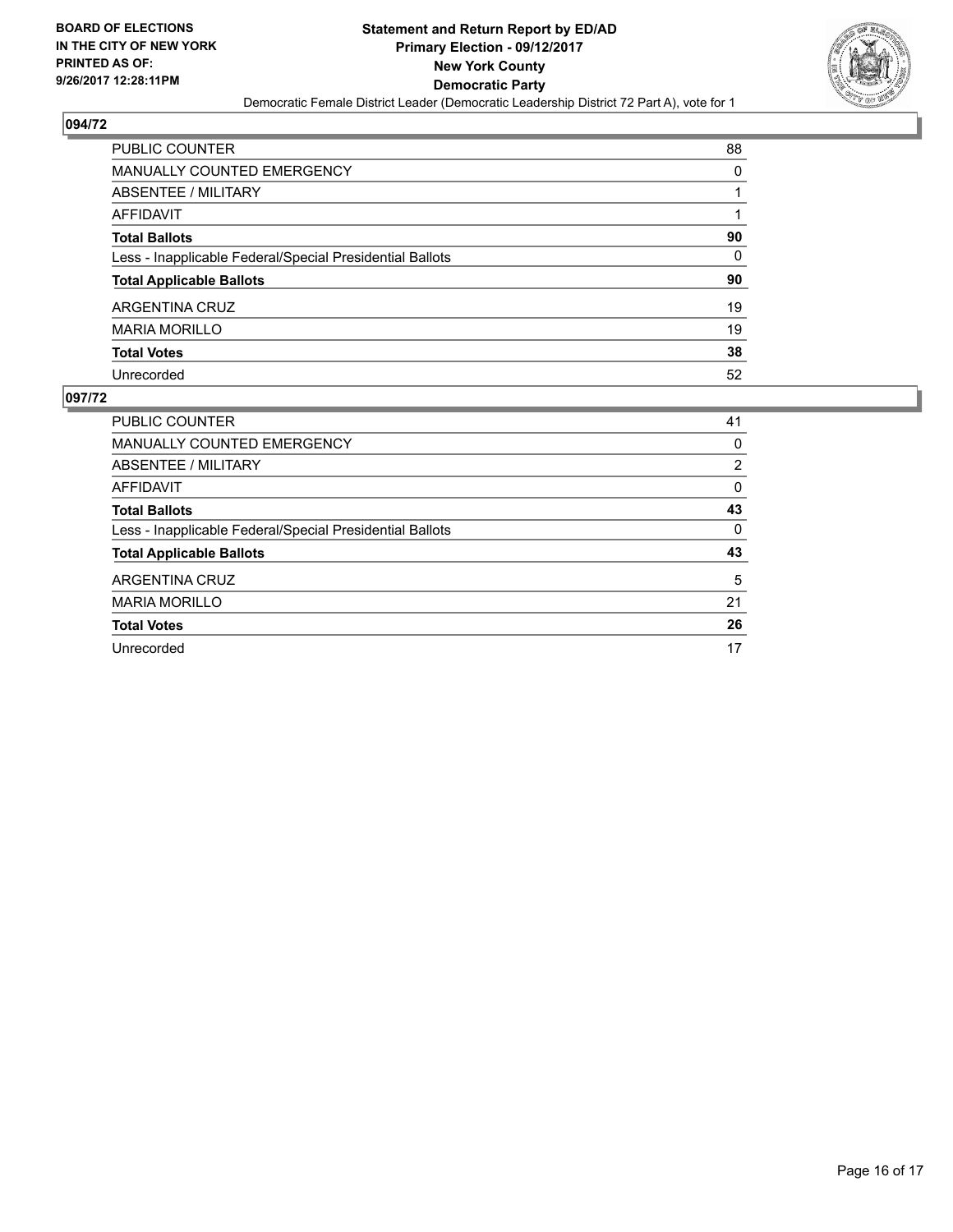

| <b>PUBLIC COUNTER</b>                                    | 88       |
|----------------------------------------------------------|----------|
| <b>MANUALLY COUNTED EMERGENCY</b>                        | $\Omega$ |
| <b>ABSENTEE / MILITARY</b>                               |          |
| <b>AFFIDAVIT</b>                                         |          |
| <b>Total Ballots</b>                                     | 90       |
| Less - Inapplicable Federal/Special Presidential Ballots | $\Omega$ |
| <b>Total Applicable Ballots</b>                          | 90       |
| <b>ARGENTINA CRUZ</b>                                    | 19       |
| <b>MARIA MORILLO</b>                                     | 19       |
| <b>Total Votes</b>                                       | 38       |
| Unrecorded                                               | 52       |

| <b>PUBLIC COUNTER</b>                                    | 41 |
|----------------------------------------------------------|----|
| <b>MANUALLY COUNTED EMERGENCY</b>                        | 0  |
| ABSENTEE / MILITARY                                      | 2  |
| AFFIDAVIT                                                | 0  |
| <b>Total Ballots</b>                                     | 43 |
| Less - Inapplicable Federal/Special Presidential Ballots | 0  |
| <b>Total Applicable Ballots</b>                          | 43 |
| ARGENTINA CRUZ                                           | 5  |
| <b>MARIA MORILLO</b>                                     | 21 |
| <b>Total Votes</b>                                       | 26 |
| Unrecorded                                               | 17 |